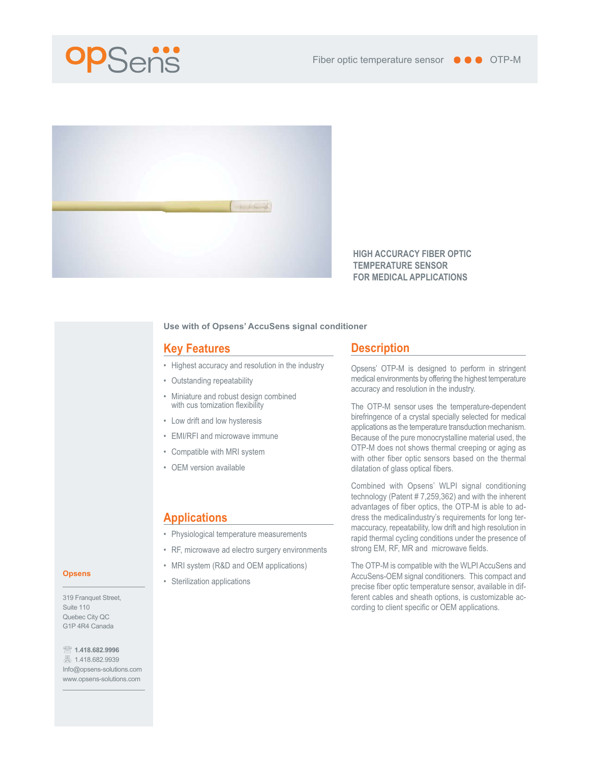



**HIGH ACCURACY FIBER OPTIC TEMPERATURE SENSOR FOR MEDICAL APPLICATIONS**

#### **Use with of Opsens' AccuSens signal conditioner**

## **Key Features**

- Highest accuracy and resolution in the industry
- Outstanding repeatability
- Miniature and robust design combined with cus tomization flexibility
- Low drift and low hysteresis
- EMI/RFI and microwave immune
- Compatible with MRI system
- OEM version available

# **Applications**

- Physiological temperature measurements
- RF, microwave ad electro surgery environments
- MRI system (R&D and OEM applications)
- Sterilization applications

### **Description**

Opsens' OTP-M is designed to perform in stringent medical environments by offering the highest temperature accuracy and resolution in the industry.

The OTP-M sensor uses the temperature-dependent birefringence of a crystal specially selected for medical applications as the temperature transduction mechanism. Because of the pure monocrystalline material used, the OTP-M does not shows thermal creeping or aging as with other fiber optic sensors based on the thermal dilatation of glass optical fibers.

Combined with Opsens' WLPI signal conditioning technology (Patent # 7,259,362) and with the inherent advantages of fiber optics, the OTP-M is able to address the medicalindustry's requirements for long termaccuracy, repeatability, low drift and high resolution in rapid thermal cycling conditions under the presence of strong EM, RF, MR and microwave fields.

The OTP-M is compatible with the WLPI AccuSens and AccuSens-OEM signal conditioners. This compact and precise fiber optic temperature sensor, available in different cables and sheath options, is customizable according to client specific or OEM applications.

#### **Opsens**

319 Franquet Street, Suite 110 Quebec City QC G1P 4R4 Canada

**1.418.682.9996** ■ 1.418.682.9939

Info@opsens-solutions.com www.opsens-solutions.com